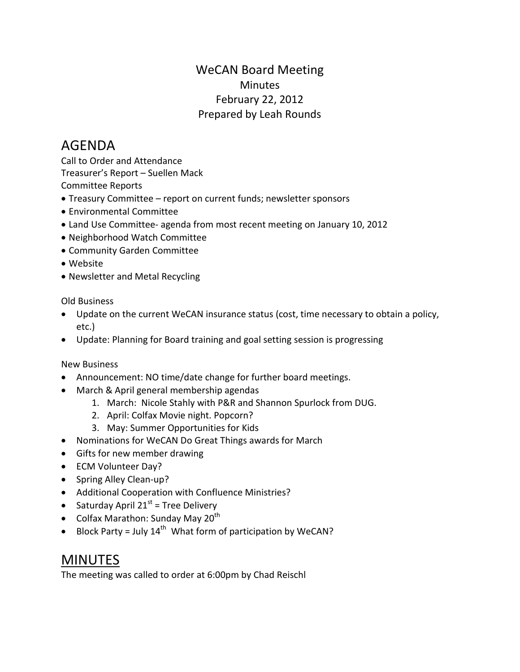# WeCAN Board Meeting **Minutes** February 22, 2012 Prepared by Leah Rounds

# AGENDA

Call to Order and Attendance Treasurer's Report – Suellen Mack Committee Reports

- Treasury Committee report on current funds; newsletter sponsors
- Environmental Committee
- Land Use Committee- agenda from most recent meeting on January 10, 2012
- Neighborhood Watch Committee
- Community Garden Committee
- Website
- Newsletter and Metal Recycling

Old Business

- Update on the current WeCAN insurance status (cost, time necessary to obtain a policy, etc.)
- Update: Planning for Board training and goal setting session is progressing

#### New Business

- Announcement: NO time/date change for further board meetings.
- March & April general membership agendas
	- 1. March: Nicole Stahly with P&R and Shannon Spurlock from DUG.
		- 2. April: Colfax Movie night. Popcorn?
		- 3. May: Summer Opportunities for Kids
- Nominations for WeCAN Do Great Things awards for March
- Gifts for new member drawing
- ECM Volunteer Day?
- Spring Alley Clean-up?
- Additional Cooperation with Confluence Ministries?
- Saturday April  $21^{st}$  = Tree Delivery
- Colfax Marathon: Sunday May  $20<sup>th</sup>$
- Block Party = July  $14^{th}$  What form of participation by WeCAN?

## MINUTES

The meeting was called to order at 6:00pm by Chad Reischl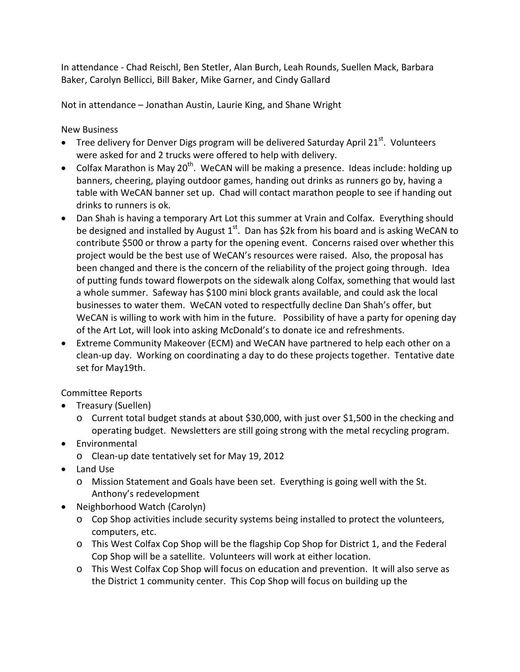In attendance - Chad Reischl, Ben Stetler, Alan Burch, Leah Rounds, Suellen Mack, Barbara Baker, Carolyn Bellicci, Bill Baker, Mike Garner, and Cindy Gallard

Not in attendance – Jonathan Austin, Laurie King, and Shane Wright

New Business

- Tree delivery for Denver Digs program will be delivered Saturday April 21st. Volunteers were asked for and 2 trucks were offered to help with delivery.
- Colfax Marathon is May 20<sup>th</sup>. WeCAN will be making a presence. Ideas include: holding up banners, cheering, playing outdoor games, handing out drinks as runners go by, having a table with WeCAN banner set up. Chad will contact marathon people to see if handing out drinks to runners is ok.
- Dan Shah is having a temporary Art Lot this summer at Vrain and Colfax. Everything should be designed and installed by August  $1<sup>st</sup>$ . Dan has \$2k from his board and is asking WeCAN to contribute \$500 or throw a party for the opening event. Concerns raised over whether this project would be the best use of WeCAN's resources were raised. Also, the proposal has been changed and there is the concern of the reliability of the project going through. Idea of putting funds toward flowerpots on the sidewalk along Colfax, something that would last a whole summer. Safeway has \$100 mini block grants available, and could ask the local businesses to water them. WeCAN voted to respectfully decline Dan Shah's offer, but WeCAN is willing to work with him in the future. Possibility of have a party for opening day of the Art Lot, will look into asking McDonald's to donate ice and refreshments.
- Extreme Community Makeover (ECM) and WeCAN have partnered to help each other on a clean-up day. Working on coordinating a day to do these projects together. Tentative date set for May19th.

Committee Reports

- Treasury (Suellen)
	- o Current total budget stands at about \$30,000, with just over \$1,500 in the checking and operating budget. Newsletters are still going strong with the metal recycling program.
- Environmental
	- o Clean-up date tentatively set for May 19, 2012
- Land Use
	- o Mission Statement and Goals have been set. Everything is going well with the St. Anthony's redevelopment
- Neighborhood Watch (Carolyn)
	- o Cop Shop activities include security systems being installed to protect the volunteers, computers, etc.
	- o This West Colfax Cop Shop will be the flagship Cop Shop for District 1, and the Federal Cop Shop will be a satellite. Volunteers will work at either location.
	- o This West Colfax Cop Shop will focus on education and prevention. It will also serve as the District 1 community center. This Cop Shop will focus on building up the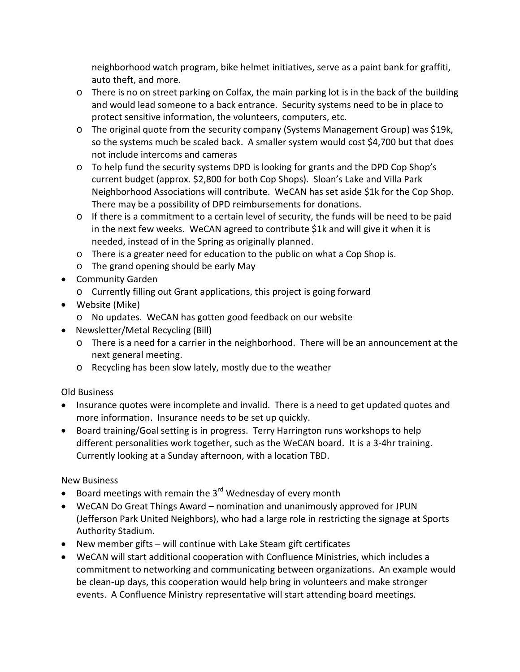neighborhood watch program, bike helmet initiatives, serve as a paint bank for graffiti, auto theft, and more.

- o There is no on street parking on Colfax, the main parking lot is in the back of the building and would lead someone to a back entrance. Security systems need to be in place to protect sensitive information, the volunteers, computers, etc.
- o The original quote from the security company (Systems Management Group) was \$19k, so the systems much be scaled back. A smaller system would cost \$4,700 but that does not include intercoms and cameras
- o To help fund the security systems DPD is looking for grants and the DPD Cop Shop's current budget (approx. \$2,800 for both Cop Shops). Sloan's Lake and Villa Park Neighborhood Associations will contribute. WeCAN has set aside \$1k for the Cop Shop. There may be a possibility of DPD reimbursements for donations.
- $\circ$  If there is a commitment to a certain level of security, the funds will be need to be paid in the next few weeks. WeCAN agreed to contribute \$1k and will give it when it is needed, instead of in the Spring as originally planned.
- o There is a greater need for education to the public on what a Cop Shop is.
- o The grand opening should be early May
- Community Garden
	- o Currently filling out Grant applications, this project is going forward
- Website (Mike)
	- o No updates. WeCAN has gotten good feedback on our website
- Newsletter/Metal Recycling (Bill)
	- o There is a need for a carrier in the neighborhood. There will be an announcement at the next general meeting.
	- o Recycling has been slow lately, mostly due to the weather

### Old Business

- Insurance quotes were incomplete and invalid. There is a need to get updated quotes and more information. Insurance needs to be set up quickly.
- Board training/Goal setting is in progress. Terry Harrington runs workshops to help different personalities work together, such as the WeCAN board. It is a 3-4hr training. Currently looking at a Sunday afternoon, with a location TBD.

### New Business

- Board meetings with remain the  $3<sup>rd</sup>$  Wednesday of every month
- WeCAN Do Great Things Award nomination and unanimously approved for JPUN (Jefferson Park United Neighbors), who had a large role in restricting the signage at Sports Authority Stadium.
- New member gifts will continue with Lake Steam gift certificates
- WeCAN will start additional cooperation with Confluence Ministries, which includes a commitment to networking and communicating between organizations. An example would be clean-up days, this cooperation would help bring in volunteers and make stronger events. A Confluence Ministry representative will start attending board meetings.